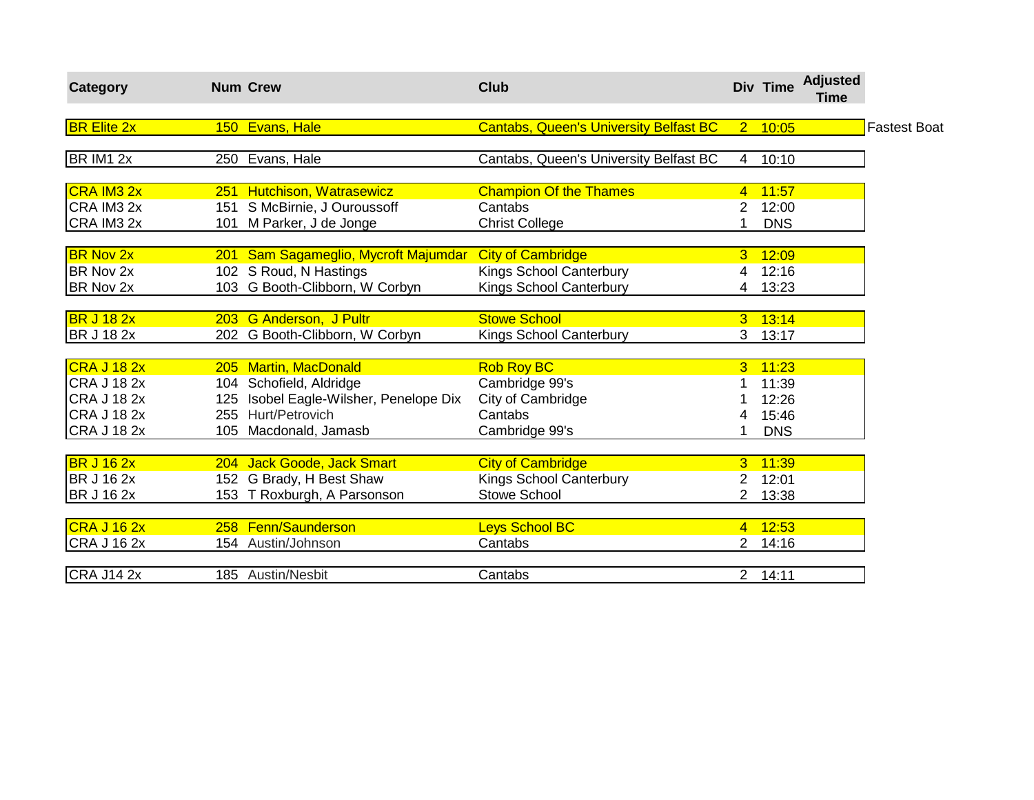| Category           | <b>Num Crew</b>                        | <b>Club</b>                                   |                | Div Time   | <b>Adjusted</b><br>Time |                     |
|--------------------|----------------------------------------|-----------------------------------------------|----------------|------------|-------------------------|---------------------|
| <b>BR Elite 2x</b> | 150 Evans, Hale                        | <b>Cantabs, Queen's University Belfast BC</b> |                | 2 10:05    |                         | <b>Fastest Boat</b> |
| BR IM1 2x          | 250 Evans, Hale                        | Cantabs, Queen's University Belfast BC        |                | 4 10:10    |                         |                     |
| <b>CRA IM3 2x</b>  | 251 Hutchison, Watrasewicz             | <b>Champion Of the Thames</b>                 | $\overline{4}$ | 11:57      |                         |                     |
| CRA IM3 2x         | 151 S McBirnie, J Ouroussoff           | Cantabs                                       | 2              | 12:00      |                         |                     |
| CRA IM3 2x         | 101 M Parker, J de Jonge               | <b>Christ College</b>                         |                | <b>DNS</b> |                         |                     |
| <b>BR Nov 2x</b>   | 201 Sam Sagameglio, Mycroft Majumdar   | <b>City of Cambridge</b>                      | 3              | 12:09      |                         |                     |
| <b>BR Nov 2x</b>   | 102 S Roud, N Hastings                 | <b>Kings School Canterbury</b>                | 4              | 12:16      |                         |                     |
| <b>BR Nov 2x</b>   | 103 G Booth-Clibborn, W Corbyn         | <b>Kings School Canterbury</b>                | 4              | 13:23      |                         |                     |
| <b>BR J 18 2x</b>  | 203 G Anderson, J Pultr                | <b>Stowe School</b>                           | 3.             | 13:14      |                         |                     |
| <b>BR J 18 2x</b>  | 202 G Booth-Clibborn, W Corbyn         | Kings School Canterbury                       | 3              | 13:17      |                         |                     |
| CRA J 18 2x        | 205 Martin, MacDonald                  | <b>Rob Roy BC</b>                             | 3              | 11:23      |                         |                     |
| <b>CRA J 18 2x</b> | 104 Schofield, Aldridge                | Cambridge 99's                                |                | 11:39      |                         |                     |
| <b>CRA J 18 2x</b> | 125 Isobel Eagle-Wilsher, Penelope Dix | City of Cambridge                             |                | 12:26      |                         |                     |
| <b>CRA J 18 2x</b> | 255 Hurt/Petrovich                     | Cantabs                                       | 4              | 15:46      |                         |                     |
| <b>CRA J 18 2x</b> | 105 Macdonald, Jamasb                  | Cambridge 99's                                |                | <b>DNS</b> |                         |                     |
| <b>BR J 16 2x</b>  | 204 Jack Goode, Jack Smart             | <b>City of Cambridge</b>                      | 3              | 11:39      |                         |                     |
| <b>BR J 16 2x</b>  | 152 G Brady, H Best Shaw               | Kings School Canterbury                       | $\overline{2}$ | 12:01      |                         |                     |
| <b>BR J 16 2x</b>  | 153 T Roxburgh, A Parsonson            | <b>Stowe School</b>                           |                | 13:38      |                         |                     |
| CRA J 16 2x        | 258 Fenn/Saunderson                    | Leys School BC                                |                | 4 12:53    |                         |                     |
| <b>CRA J 16 2x</b> | 154 Austin/Johnson                     | Cantabs                                       | $\overline{2}$ | 14:16      |                         |                     |
| <b>CRA J14 2x</b>  | 185 Austin/Nesbit                      | Cantabs                                       |                | 2 14:11    |                         |                     |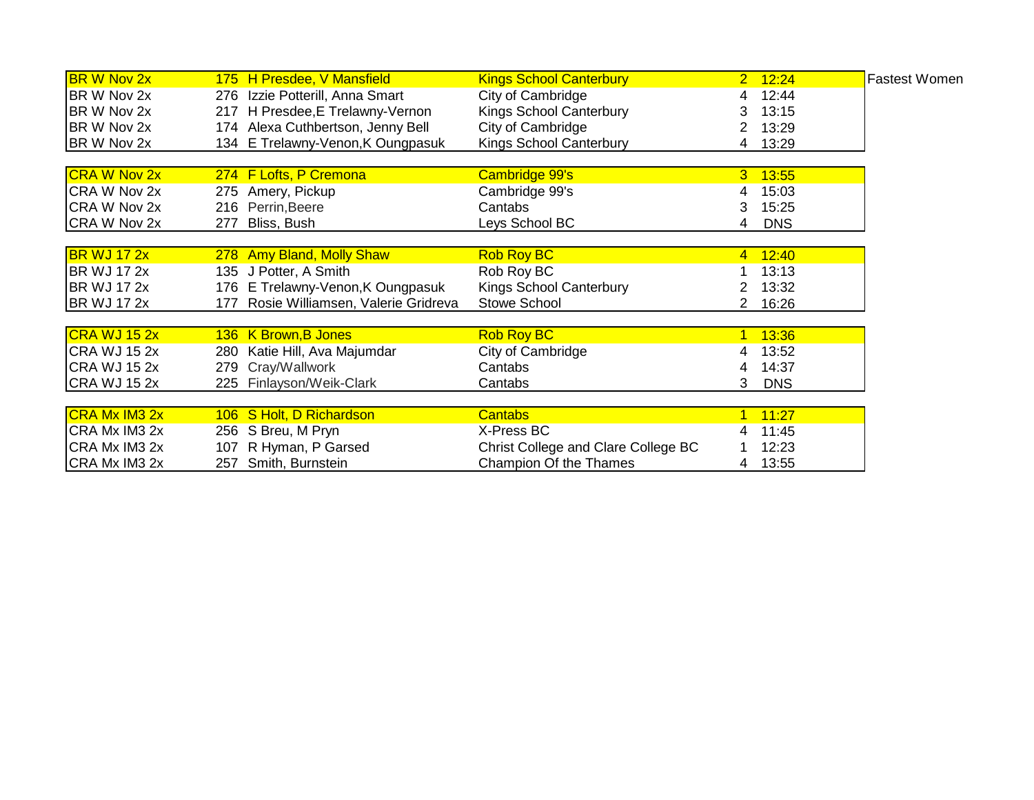| <b>BR W Nov 2x</b>   | 175 H Presdee, V Mansfield             | <b>Kings School Canterbury</b>      | $2 \quad 12:24$ | <b>Fastest Women</b> |
|----------------------|----------------------------------------|-------------------------------------|-----------------|----------------------|
| BR W Nov 2x          | 276 Izzie Potterill, Anna Smart        | City of Cambridge                   | 12:44<br>4      |                      |
| BR W Nov 2x          | 217 H Presdee, E Trelawny-Vernon       | <b>Kings School Canterbury</b>      | 13:15           |                      |
| BR W Nov 2x          | 174 Alexa Cuthbertson, Jenny Bell      | City of Cambridge                   | 13:29           |                      |
| BR W Nov 2x          | 134 E Trelawny-Venon, K Oungpasuk      | <b>Kings School Canterbury</b>      | 13:29<br>4      |                      |
|                      |                                        |                                     |                 |                      |
| <b>CRA W Nov 2x</b>  | 274 F Lofts, P Cremona                 | Cambridge 99's                      | 13:55<br>3      |                      |
| CRA W Nov 2x         | 275 Amery, Pickup                      | Cambridge 99's                      | 15:03<br>4      |                      |
| CRA W Nov 2x         | 216 Perrin, Beere                      | Cantabs                             | 15:25<br>3      |                      |
| CRA W Nov 2x         | Bliss, Bush<br>277                     | Leys School BC                      | <b>DNS</b><br>4 |                      |
| <b>BR WJ 17 2x</b>   | 278 Amy Bland, Molly Shaw              | <b>Rob Roy BC</b>                   | 12:40<br>4      |                      |
| <b>BR WJ 17 2x</b>   | 135 J Potter, A Smith                  | Rob Roy BC                          | 13:13           |                      |
| <b>BR WJ 17 2x</b>   |                                        |                                     |                 |                      |
|                      | 176 E Trelawny-Venon, K Oungpasuk      | <b>Kings School Canterbury</b>      | 13:32           |                      |
| <b>BR WJ 17 2x</b>   | 177 Rosie Williamsen, Valerie Gridreva | <b>Stowe School</b>                 | 16:26           |                      |
| CRA WJ 15 2x         | 136 K Brown, B Jones                   | <b>Rob Roy BC</b>                   | 13:36<br>1      |                      |
| <b>CRA WJ 15 2x</b>  | 280 Katie Hill, Ava Majumdar           | City of Cambridge                   | 13:52<br>4      |                      |
| <b>CRA WJ 15 2x</b>  | 279 Cray/Wallwork                      | Cantabs                             | 14:37<br>4      |                      |
| CRA WJ 15 2x         | 225 Finlayson/Weik-Clark               | Cantabs                             | 3<br><b>DNS</b> |                      |
|                      |                                        |                                     |                 |                      |
| <b>CRA Mx IM3 2x</b> | 106 S Holt, D Richardson               | <b>Cantabs</b>                      | 11:27<br>1.     |                      |
| CRA Mx IM3 2x        | 256 S Breu, M Pryn                     | X-Press BC                          | 11:45           |                      |
| CRA Mx IM3 2x        | 107 R Hyman, P Garsed                  | Christ College and Clare College BC | 12:23           |                      |
| CRA Mx IM3 2x        | 257 Smith, Burnstein                   | Champion Of the Thames              | 13:55<br>4      |                      |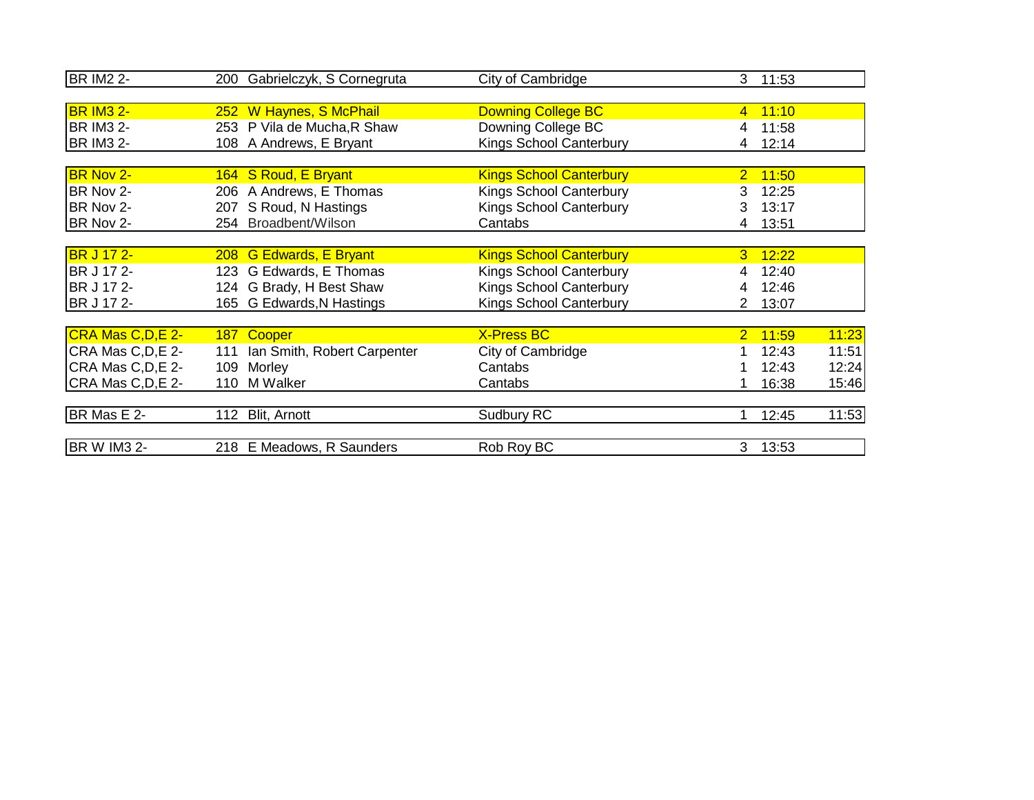| <b>BR IM2 2-</b>   |     | 200 Gabrielczyk, S Cornegruta | City of Cambridge              |                | 3 11:53 |       |
|--------------------|-----|-------------------------------|--------------------------------|----------------|---------|-------|
|                    |     |                               |                                |                |         |       |
| <b>BR IM3 2-</b>   |     | 252 W Haynes, S McPhail       | <b>Downing College BC</b>      | $\overline{4}$ | 11:10   |       |
| <b>BR IM3 2-</b>   |     | 253 P Vila de Mucha, R Shaw   | Downing College BC             |                | 11:58   |       |
| <b>BR IM3 2-</b>   |     | 108 A Andrews, E Bryant       | <b>Kings School Canterbury</b> | 4              | 12:14   |       |
|                    |     |                               |                                |                |         |       |
| BR Nov 2-          |     | 164 S Roud, E Bryant          | <b>Kings School Canterbury</b> | $\overline{2}$ | 11:50   |       |
| BR Nov 2-          |     | 206 A Andrews, E Thomas       | Kings School Canterbury        | 3.             | 12:25   |       |
| BR Nov 2-          |     | 207 S Roud, N Hastings        | <b>Kings School Canterbury</b> | 3              | 13:17   |       |
| BR Nov 2-          |     | 254 Broadbent/Wilson          | Cantabs                        | 4              | 13:51   |       |
|                    |     |                               |                                |                |         |       |
| <b>BR J 17 2-</b>  |     | 208 G Edwards, E Bryant       | <b>Kings School Canterbury</b> | $\overline{3}$ | 12:22   |       |
| BR J 17 2-         |     | 123 G Edwards, E Thomas       | Kings School Canterbury        |                | 12:40   |       |
| BR J 17 2-         |     | 124 G Brady, H Best Shaw      | <b>Kings School Canterbury</b> |                | 12:46   |       |
| BR J 17 2-         |     | 165 G Edwards, N Hastings     | Kings School Canterbury        | 2              | 13:07   |       |
|                    |     |                               |                                |                |         |       |
| CRA Mas C, D, E 2- |     | 187 Cooper                    | <b>X-Press BC</b>              | 2 <sup>1</sup> | 11:59   | 11:23 |
| CRA Mas C, D, E 2- | 111 | Ian Smith, Robert Carpenter   | City of Cambridge              |                | 12:43   | 11:51 |
| CRA Mas C, D, E 2- | 109 | Morley                        | Cantabs                        |                | 12:43   | 12:24 |
| CRA Mas C, D, E 2- | 110 | M Walker                      | Cantabs                        |                | 16:38   | 15:46 |
|                    |     |                               |                                |                |         |       |
| BR Mas E 2-        |     | 112 Blit, Arnott              | Sudbury RC                     |                | 12:45   | 11:53 |
| <b>BR W IM3 2-</b> |     | 218 E Meadows, R Saunders     | Rob Roy BC                     |                | 3 13:53 |       |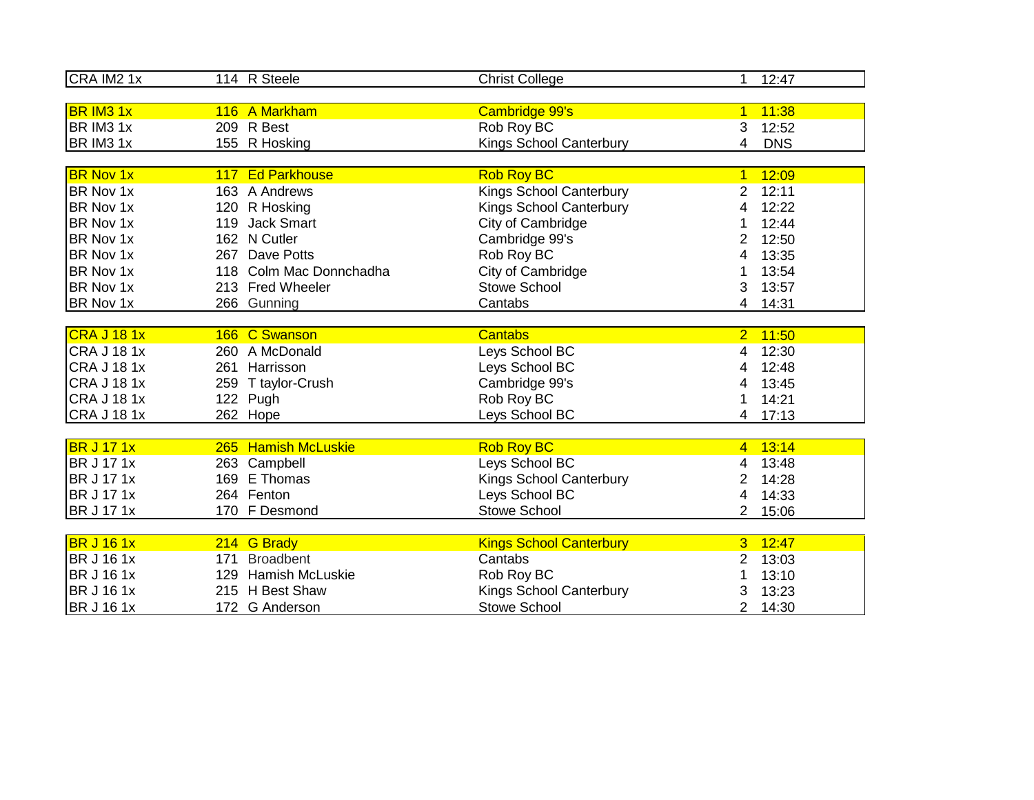| CRA IM2 1x         | 114 R Steele            | <b>Christ College</b>          | 1              | 12:47      |
|--------------------|-------------------------|--------------------------------|----------------|------------|
|                    |                         |                                |                |            |
| <b>BR IM3 1x</b>   | 116 A Markham           | Cambridge 99's                 | $\mathbf{1}$   | 11:38      |
| BR IM3 1x          | 209 R Best              | Rob Roy BC                     | 3              | 12:52      |
| BR IM3 1x          | 155 R Hosking           | Kings School Canterbury        | 4              | <b>DNS</b> |
|                    |                         |                                |                |            |
| <b>BR Nov 1x</b>   | 117 Ed Parkhouse        | <b>Rob Roy BC</b>              | $\mathbf{1}$   | 12:09      |
| BR Nov 1x          | 163 A Andrews           | <b>Kings School Canterbury</b> | 2              | 12:11      |
| BR Nov 1x          | 120 R Hosking           | <b>Kings School Canterbury</b> | 4              | 12:22      |
| BR Nov 1x          | 119 Jack Smart          | City of Cambridge              |                | 12:44      |
| BR Nov 1x          | 162 N Cutler            | Cambridge 99's                 | 2              | 12:50      |
| BR Nov 1x          | 267 Dave Potts          | Rob Roy BC                     | 4              | 13:35      |
| BR Nov 1x          | 118 Colm Mac Donnchadha | City of Cambridge              | 1              | 13:54      |
| BR Nov 1x          | 213 Fred Wheeler        | <b>Stowe School</b>            | 3              | 13:57      |
| BR Nov 1x          | 266 Gunning             | Cantabs                        | 4              | 14:31      |
|                    |                         |                                |                |            |
| CRA J 18 1x        | 166 C Swanson           | <b>Cantabs</b>                 | 2 <sup>1</sup> | 11:50      |
| <b>CRA J 18 1x</b> | 260 A McDonald          | Leys School BC                 | 4              | 12:30      |
| <b>CRA J 18 1x</b> | 261 Harrisson           | Leys School BC                 | 4              | 12:48      |
| <b>CRA J 18 1x</b> | 259 T taylor-Crush      | Cambridge 99's                 | 4              | 13:45      |
| <b>CRA J 181x</b>  | 122 Pugh                | Rob Roy BC                     |                | 14:21      |
| <b>CRA J 18 1x</b> | 262 Hope                | Leys School BC                 |                | 4 17:13    |
|                    |                         |                                |                |            |
| <b>BR J 17 1x</b>  | 265 Hamish McLuskie     | <b>Rob Roy BC</b>              | $\overline{4}$ | 13:14      |
| <b>BR J 17 1x</b>  | 263 Campbell            | Leys School BC                 | 4              | 13:48      |
| <b>BR J 17 1x</b>  | 169 E Thomas            | Kings School Canterbury        | 2              | 14:28      |
| <b>BR J 17 1x</b>  | 264 Fenton              | Leys School BC                 | 4              | 14:33      |
| <b>BR J 17 1x</b>  | 170 F Desmond           | <b>Stowe School</b>            | $\overline{2}$ | 15:06      |
|                    |                         |                                |                |            |
| <b>BR J 16 1x</b>  | 214 G Brady             | <b>Kings School Canterbury</b> | $\mathbf{3}$   | 12:47      |
| <b>BR J 16 1x</b>  | 171 Broadbent           | Cantabs                        | 2              | 13:03      |
| <b>BR J 16 1x</b>  | 129 Hamish McLuskie     | Rob Roy BC                     | 1              | 13:10      |
| <b>BR J 16 1x</b>  | 215 H Best Shaw         | Kings School Canterbury        | 3              | 13:23      |
| <b>BR J 16 1x</b>  | 172 G Anderson          | <b>Stowe School</b>            | 2              | 14:30      |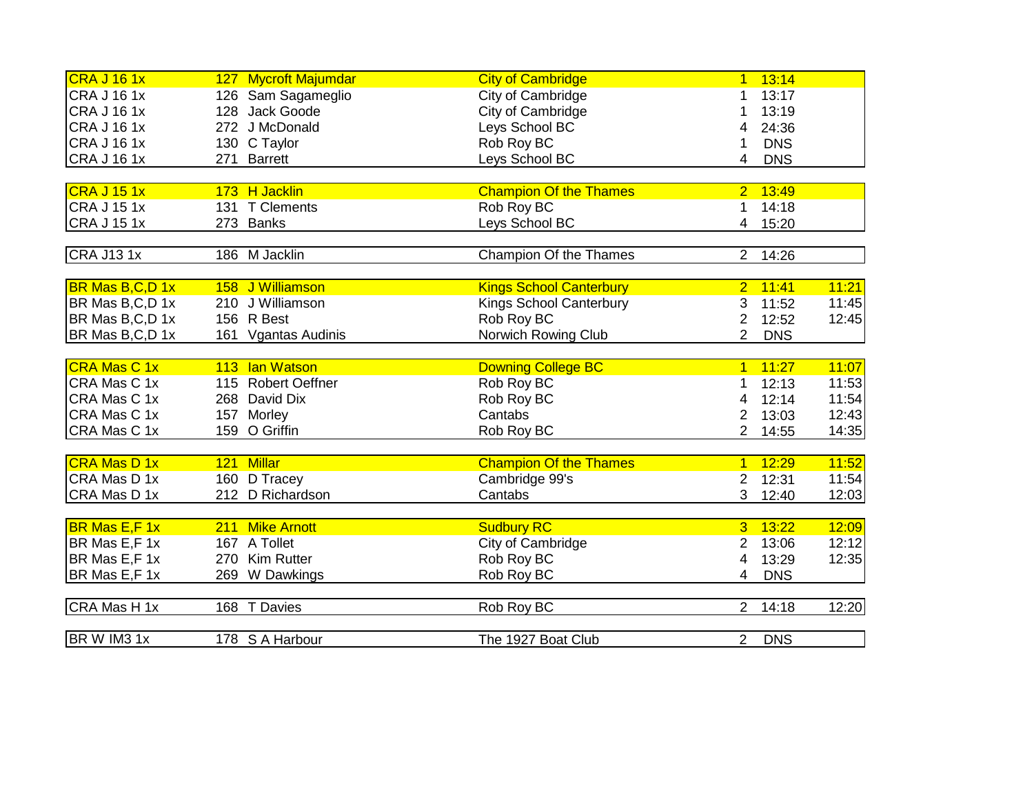| CRA J 16 1x          |     | 127 Mycroft Majumdar | <b>City of Cambridge</b>       | $\overline{1}$ | 13:14      |       |
|----------------------|-----|----------------------|--------------------------------|----------------|------------|-------|
| <b>CRA J 16 1x</b>   |     | 126 Sam Sagameglio   | City of Cambridge              | 1.             | 13:17      |       |
| <b>CRA J 16 1x</b>   |     | 128 Jack Goode       | City of Cambridge              | 1              | 13:19      |       |
| <b>CRA J 16 1x</b>   |     | 272 J McDonald       | Leys School BC                 | 4              | 24:36      |       |
| <b>CRA J 16 1x</b>   |     | 130 C Taylor         | Rob Roy BC                     | 1              | <b>DNS</b> |       |
| <b>CRA J 16 1x</b>   | 271 | <b>Barrett</b>       | Leys School BC                 | 4              | <b>DNS</b> |       |
|                      |     |                      |                                |                |            |       |
| CRA J 15 1x          |     | 173 H Jacklin        | <b>Champion Of the Thames</b>  | 2 <sup>1</sup> | 13:49      |       |
| CRA J 15 1x          |     | 131 T Clements       | Rob Roy BC                     | 1              | 14:18      |       |
| <b>CRA J 15 1x</b>   | 273 | Banks                | Leys School BC                 | 4              | 15:20      |       |
|                      |     |                      |                                |                |            |       |
| <b>CRA J131x</b>     |     | 186 M Jacklin        | Champion Of the Thames         | $\overline{2}$ | 14:26      |       |
|                      |     |                      |                                |                |            |       |
| BR Mas B,C,D 1x      | 158 | J Williamson         | <b>Kings School Canterbury</b> | $\overline{2}$ | 11:41      | 11:21 |
| BR Mas B,C,D 1x      |     | 210 J Williamson     | <b>Kings School Canterbury</b> | 3              | 11:52      | 11:45 |
| BR Mas B,C,D 1x      |     | 156 R Best           | Rob Roy BC                     | $\overline{2}$ | 12:52      | 12:45 |
| BR Mas B,C,D 1x      |     | 161 Vgantas Audinis  | Norwich Rowing Club            | $\overline{2}$ | <b>DNS</b> |       |
|                      |     |                      |                                |                |            |       |
| <b>CRA Mas C 1x</b>  | 113 | lan Watson           | <b>Downing College BC</b>      | $\overline{1}$ | 11:27      | 11:07 |
| CRA Mas C 1x         |     | 115 Robert Oeffner   | Rob Roy BC                     | 1              | 12:13      | 11:53 |
| CRA Mas C 1x         |     | 268 David Dix        | Rob Roy BC                     | 4              | 12:14      | 11:54 |
| CRA Mas C 1x         |     | 157 Morley           | Cantabs                        | $\overline{2}$ | 13:03      | 12:43 |
| CRA Mas C 1x         |     | 159 O Griffin        | Rob Roy BC                     | $\overline{2}$ | 14:55      | 14:35 |
|                      |     |                      |                                |                |            |       |
| <b>CRA Mas D 1x</b>  |     | 121 Millar           | <b>Champion Of the Thames</b>  | $\overline{1}$ | 12:29      | 11:52 |
| CRA Mas D 1x         |     | 160 D Tracey         | Cambridge 99's                 | $\overline{2}$ | 12:31      | 11:54 |
| CRA Mas D 1x         |     | 212 D Richardson     | Cantabs                        | 3              | 12:40      | 12:03 |
|                      |     |                      |                                |                |            |       |
| <b>BR Mas E,F 1x</b> | 211 | <b>Mike Arnott</b>   | <b>Sudbury RC</b>              | $\overline{3}$ | 13:22      | 12:09 |
| BR Mas E,F 1x        |     | 167 A Tollet         | City of Cambridge              | $\overline{2}$ | 13:06      | 12:12 |
| BR Mas E,F 1x        |     | 270 Kim Rutter       | Rob Roy BC                     | 4              | 13:29      | 12:35 |
| BR Mas E,F 1x        |     | 269 W Dawkings       | Rob Roy BC                     | 4              | <b>DNS</b> |       |
|                      |     |                      |                                |                |            |       |
| CRA Mas H 1x         |     | 168 T Davies         | Rob Roy BC                     |                | 2 14:18    | 12:20 |
|                      |     |                      |                                |                |            |       |
| BR W IM3 1x          |     | 178 S A Harbour      | The 1927 Boat Club             | 2 <sup>1</sup> | <b>DNS</b> |       |
|                      |     |                      |                                |                |            |       |